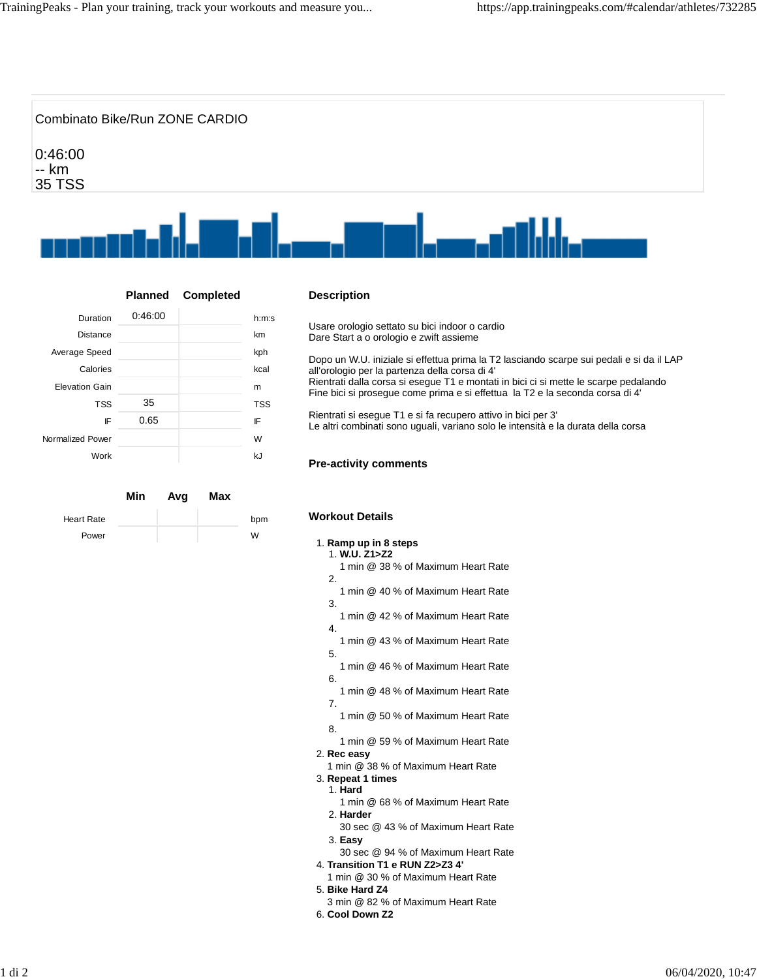

**Planned Completed**

Duration 0:46:00 h:m:s Distance km Average Speed kph Calories **kcal** Elevation Gain metal and the metal metal metal metal metal metal metal metal metal metal metal metal metal met<br>
Elevation Gain

> TSS 35 TSS IF 0.65 IF

Work **kJ** 

**Min Avg Max**

Heart Rate bpm Power W

Normalized Power Normalized W

## **Description**

Usare orologio settato su bici indoor o cardio Dare Start a o orologio e zwift assieme

Dopo un W.U. iniziale si effettua prima la T2 lasciando scarpe sui pedali e si da il LAP all'orologio per la partenza della corsa di 4' Rientrati dalla corsa si esegue T1 e montati in bici ci si mette le scarpe pedalando Fine bici si prosegue come prima e si effettua la T2 e la seconda corsa di 4'

Rientrati si esegue T1 e si fa recupero attivo in bici per 3' Le altri combinati sono uguali, variano solo le intensità e la durata della corsa

## **Pre-activity comments**

## **Workout Details**

## 1. **Ramp up in 8 steps**

- 1. **W.U. Z1>Z2**
- 1 min @ 38 % of Maximum Heart Rate 2.
- 1 min @ 40 % of Maximum Heart Rate
- 3.
- 1 min @ 42 % of Maximum Heart Rate
- 4. 1 min @ 43 % of Maximum Heart Rate
- 5.
- 1 min @ 46 % of Maximum Heart Rate
- 6.
- 1 min @ 48 % of Maximum Heart Rate 7.
- 1 min @ 50 % of Maximum Heart Rate
	-
- 1 min @ 59 % of Maximum Heart Rate
- 2. **Rec easy**

8.

- 1 min @ 38 % of Maximum Heart Rate
- 3. **Repeat 1 times** 1. **Hard**
	- 1 min @ 68 % of Maximum Heart Rate 2. **Harder**
	- 30 sec @ 43 % of Maximum Heart Rate 3. **Easy**
- 30 sec @ 94 % of Maximum Heart Rate 4. **Transition T1 e RUN Z2>Z3 4'**
- 1 min @ 30 % of Maximum Heart Rate
- 5. **Bike Hard Z4**
- 3 min @ 82 % of Maximum Heart Rate
- 6. **Cool Down Z2**